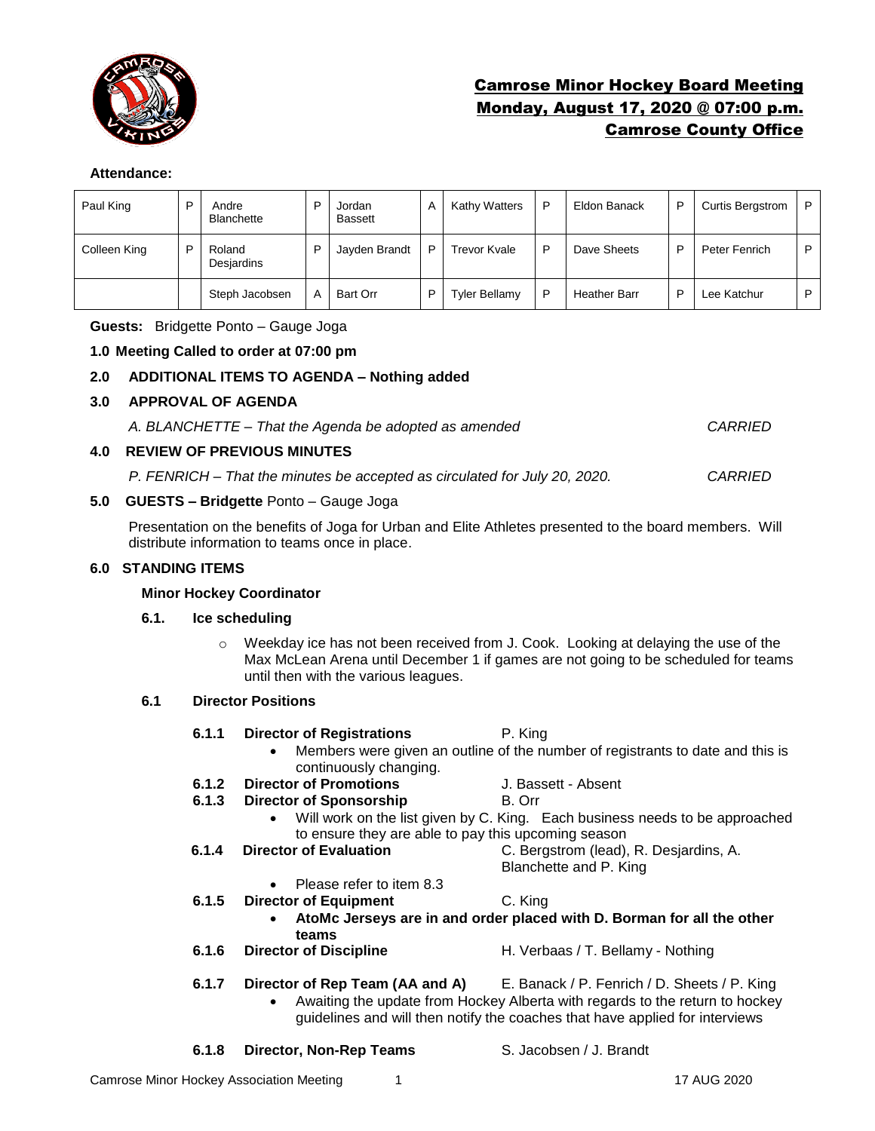

# Camrose Minor Hockey Board Meeting Monday, August 17, 2020 @ 07:00 p.m. Camrose County Office

## **Attendance:**

| Paul King    | D | Andre<br><b>Blanchette</b> | D | Jordan<br><b>Bassett</b> | A | Kathy Watters        | P | Eldon Banack        | P | <b>Curtis Bergstrom</b> | P |
|--------------|---|----------------------------|---|--------------------------|---|----------------------|---|---------------------|---|-------------------------|---|
| Colleen King |   | Roland<br>Desjardins       | D | Jayden Brandt            | P | Trevor Kvale         | D | Dave Sheets         | D | Peter Fenrich           | P |
|              |   | Steph Jacobsen             | A | <b>Bart Orr</b>          | D | <b>Tyler Bellamy</b> | D | <b>Heather Barr</b> | ▫ | Lee Katchur             | P |

**Guests:** Bridgette Ponto – Gauge Joga

## **1.0 Meeting Called to order at 07:00 pm**

## **2.0 ADDITIONAL ITEMS TO AGENDA – Nothing added**

## **3.0 APPROVAL OF AGENDA**

*A. BLANCHETTE – That the Agenda be adopted as amended CARRIED*

#### **4.0 REVIEW OF PREVIOUS MINUTES**

*P. FENRICH – That the minutes be accepted as circulated for July 20, 2020. CARRIED*

## **5.0 GUESTS – Bridgette** Ponto – Gauge Joga

Presentation on the benefits of Joga for Urban and Elite Athletes presented to the board members. Will distribute information to teams once in place.

## **6.0 STANDING ITEMS**

#### **Minor Hockey Coordinator**

#### **6.1. Ice scheduling**

o Weekday ice has not been received from J. Cook. Looking at delaying the use of the Max McLean Arena until December 1 if games are not going to be scheduled for teams until then with the various leagues.

#### **6.1 Director Positions**

- **6.1.1 Director of Registrations** P. King
	- Members were given an outline of the number of registrants to date and this is continuously changing.
- **6.1.2 Director of Promotions** J. Bassett Absent
- **6.1.3 Director of Sponsorship B. Orr** 
	- Will work on the list given by C. King. Each business needs to be approached
		- to ensure they are able to pay this upcoming season
- **6.1.4 Director of Evaluation** C. Bergstrom (lead), R. Desjardins, A.
	- Blanchette and P. King
	- Please refer to item 8.3
- **6.1.5 Director of Equipment** C. King
	- **AtoMc Jerseys are in and order placed with D. Borman for all the other teams**
- **6.1.6 Director of Discipline** H. Verbaas / T. Bellamy Nothing
- **6.1.7 Director of Rep Team (AA and A)** E. Banack / P. Fenrich / D. Sheets / P. King
	- Awaiting the update from Hockey Alberta with regards to the return to hockey guidelines and will then notify the coaches that have applied for interviews

**6.1.8 Director, Non-Rep Teams** S. Jacobsen / J. Brandt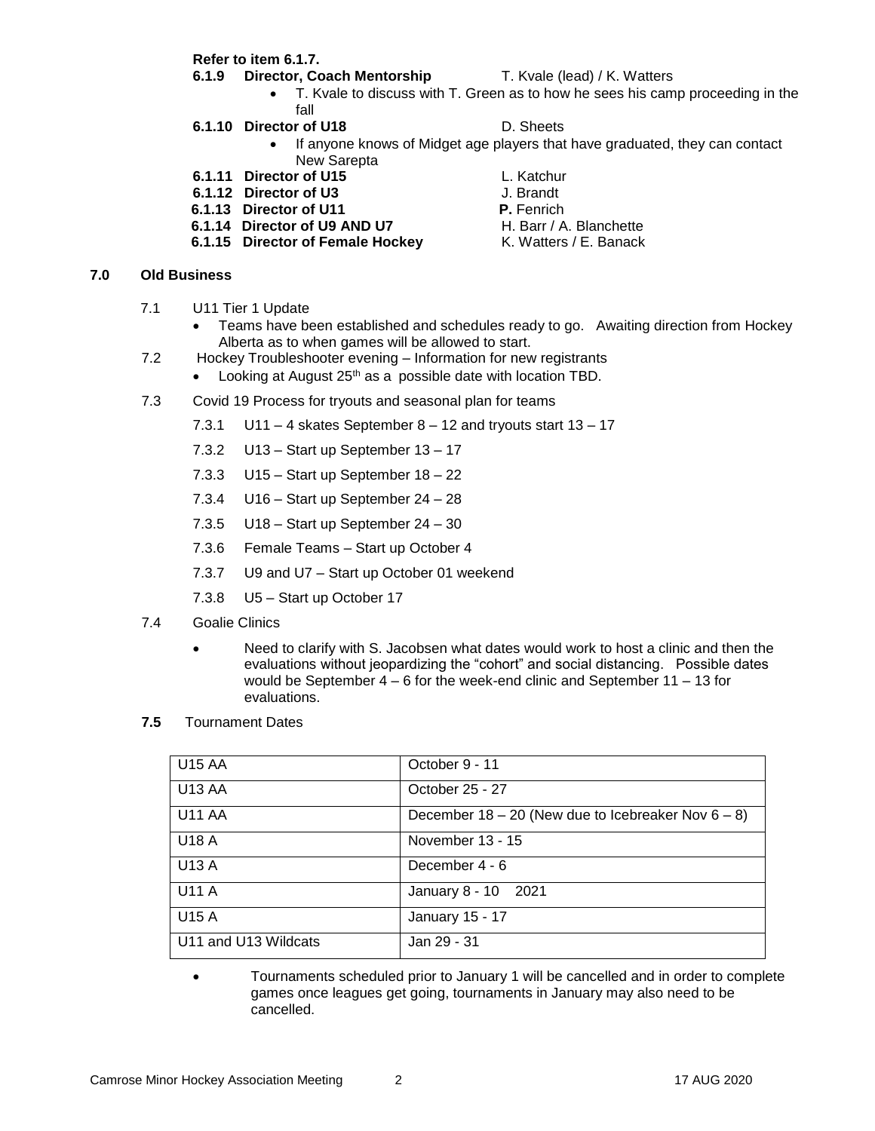**Refer to item 6.1.7.**

#### **6.1.9 Director, Coach Mentorship** T. Kvale (lead) / K. Watters

- T. Kvale to discuss with T. Green as to how he sees his camp proceeding in the fall
- **6.1.10 Director of U18** D. Sheets

- If anyone knows of Midget age players that have graduated, they can contact New Sarepta
- **6.1.11 Director of U15** L. Katchur
- **6.1.12 Director of U3** J. Brandt
- **6.1.13 Director of U11 P.** Fenrich
- **6.1.14 Director of U9 AND U7** H. Barr / A. Blanchette
- **6.1.15 Director of Female Hockey K. Watters / E. Banack**

#### **7.0 Old Business**

- 7.1 U11 Tier 1 Update
	- Teams have been established and schedules ready to go. Awaiting direction from Hockey Alberta as to when games will be allowed to start.
- 7.2 Hockey Troubleshooter evening Information for new registrants
	- Looking at August 25<sup>th</sup> as a possible date with location TBD.
- 7.3 Covid 19 Process for tryouts and seasonal plan for teams
	- 7.3.1 U11 4 skates September  $8 12$  and tryouts start  $13 17$
	- 7.3.2 U13 Start up September 13 17
	- 7.3.3 U15 Start up September 18 22
	- 7.3.4 U16 Start up September 24 28
	- 7.3.5 U18 Start up September 24 30
	- 7.3.6 Female Teams Start up October 4
	- 7.3.7 U9 and U7 Start up October 01 weekend
	- 7.3.8 U5 Start up October 17
- 7.4 Goalie Clinics
	- Need to clarify with S. Jacobsen what dates would work to host a clinic and then the evaluations without jeopardizing the "cohort" and social distancing. Possible dates would be September  $4 - 6$  for the week-end clinic and September  $11 - 13$  for evaluations.
- **7.5** Tournament Dates

| <b>U15 AA</b>        | October 9 - 11                                          |
|----------------------|---------------------------------------------------------|
| U13 AA               | October 25 - 27                                         |
| U11 AA               | December $18 - 20$ (New due to Icebreaker Nov $6 - 8$ ) |
| U18 A                | November 13 - 15                                        |
| U13 A                | December 4 - 6                                          |
| <b>U11 A</b>         | January 8 - 10 2021                                     |
| <b>U15 A</b>         | January 15 - 17                                         |
| U11 and U13 Wildcats | Jan 29 - 31                                             |

• Tournaments scheduled prior to January 1 will be cancelled and in order to complete games once leagues get going, tournaments in January may also need to be cancelled.